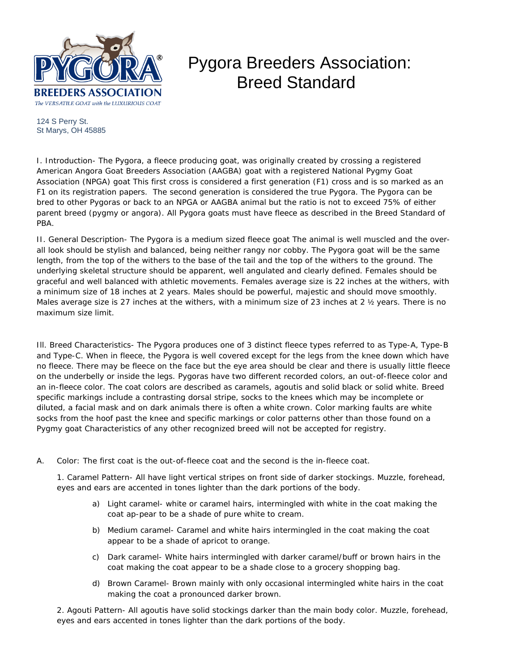

## Pygora Breeders Association: Breed Standard

124 S Perry St. St Marys, OH 45885

I. Introduction- The Pygora, a fleece producing goat, was originally created by crossing a registered American Angora Goat Breeders Association (AAGBA) goat with a registered National Pygmy Goat Association (NPGA) goat This first cross is considered a first generation (F1) cross and is so marked as an F1 on its registration papers. The second generation is considered the true Pygora. The Pygora can be bred to other Pygoras or back to an NPGA or AAGBA animal but the ratio is not to exceed 75% of either parent breed (pygmy or angora). All Pygora goats must have fleece as described in the Breed Standard of PBA.

II. General Description- The Pygora is a medium sized fleece goat The animal is well muscled and the overall look should be stylish and balanced, being neither rangy nor cobby. The Pygora goat will be the same length, from the top of the withers to the base of the tail and the top of the withers to the ground. The underlying skeletal structure should be apparent, well angulated and clearly defined. Females should be graceful and well balanced with athletic movements. Females average size is 22 inches at the withers, with a minimum size of 18 inches at 2 years. Males should be powerful, majestic and should move smoothly. Males average size is 27 inches at the withers, with a minimum size of 23 inches at 2  $\frac{1}{2}$  years. There is no maximum size limit.

Ill. Breed Characteristics- The Pygora produces one of 3 distinct fleece types referred to as Type-A, Type-B and Type-C. When in fleece, the Pygora is well covered except for the legs from the knee down which have no fleece. There may be fleece on the face but the eye area should be clear and there is usually little fleece on the underbelly or inside the legs. Pygoras have two different recorded colors, an out-of-fleece color and an in-fleece color. The coat colors are described as caramels, agoutis and solid black or solid white. Breed specific markings include a contrasting dorsal stripe, socks to the knees which may be incomplete or diluted, a facial mask and on dark animals there is often a white crown. Color marking faults are white socks from the hoof past the knee and specific markings or color patterns other than those found on a Pygmy goat Characteristics of any other recognized breed will not be accepted for registry.

A. Color: The first coat is the out-of-fleece coat and the second is the in-fleece coat.

1. Caramel Pattern- All have light vertical stripes on front side of darker stockings. Muzzle, forehead, eyes and ears are accented in tones lighter than the dark portions of the body.

- a) Light caramel- white or caramel hairs, intermingled with white in the coat making the coat ap-pear to be a shade of pure white to cream.
- b) Medium caramel- Caramel and white hairs intermingled in the coat making the coat appear to be a shade of apricot to orange.
- c) Dark caramel- White hairs intermingled with darker caramel/buff or brown hairs in the coat making the coat appear to be a shade close to a grocery shopping bag.
- d) Brown Caramel- Brown mainly with only occasional intermingled white hairs in the coat making the coat a pronounced darker brown.

2. Agouti Pattern- All agoutis have solid stockings darker than the main body color. Muzzle, forehead, eyes and ears accented in tones lighter than the dark portions of the body.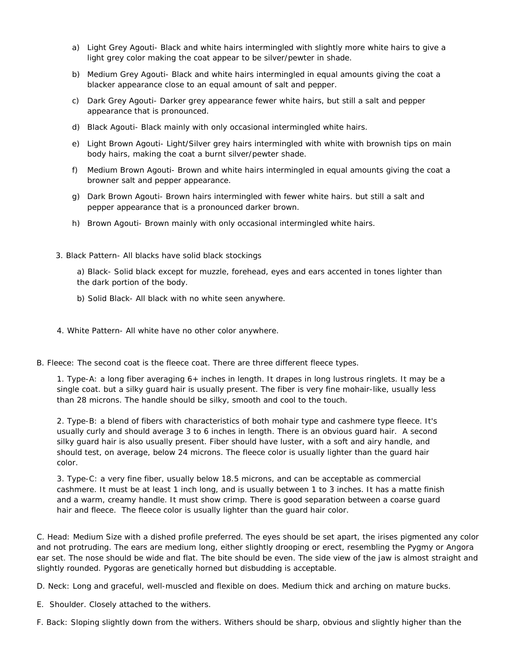- a) Light Grey Agouti- Black and white hairs intermingled with slightly more white hairs to give a light grey color making the coat appear to be silver/pewter in shade.
- b) Medium Grey Agouti- Black and white hairs intermingled in equal amounts giving the coat a blacker appearance close to an equal amount of salt and pepper.
- c) Dark Grey Agouti- Darker grey appearance fewer white hairs, but still a salt and pepper appearance that is pronounced.
- d) Black Agouti- Black mainly with only occasional intermingled white hairs.
- e) Light Brown Agouti- Light/Silver grey hairs intermingled with white with brownish tips on main body hairs, making the coat a burnt silver/pewter shade.
- f) Medium Brown Agouti- Brown and white hairs intermingled in equal amounts giving the coat a browner salt and pepper appearance.
- g) Dark Brown Agouti- Brown hairs intermingled with fewer white hairs. but still a salt and pepper appearance that is a pronounced darker brown.
- h) Brown Agouti- Brown mainly with only occasional intermingled white hairs.
- 3. Black Pattern- All blacks have solid black stockings

a) Black- Solid black except for muzzle, forehead, eyes and ears accented in tones lighter than the dark portion of the body.

- b) Solid Black- All black with no white seen anywhere.
- 4. White Pattern- All white have no other color anywhere.
- B. Fleece: The second coat is the fleece coat. There are three different fleece types.

1. Type-A: a long fiber averaging 6+ inches in length. It drapes in long lustrous ringlets. It may be a single coat. but a silky guard hair is usually present. The fiber is very fine mohair-like, usually less than 28 microns. The handle should be silky, smooth and cool to the touch.

2. Type-B: a blend of fibers with characteristics of both mohair type and cashmere type fleece. It's usually curly and should average 3 to 6 inches in length. There is an obvious guard hair. A second silky guard hair is also usually present. Fiber should have luster, with a soft and airy handle, and should test, on average, below 24 microns. The fleece color is usually lighter than the guard hair color.

3. Type-C: a very fine fiber, usually below 18.5 microns, and can be acceptable as commercial cashmere. It must be at least 1 inch long, and is usually between 1 to 3 inches. It has a matte finish and a warm, creamy handle. It must show crimp. There is good separation between a coarse guard hair and fleece. The fleece color is usually lighter than the guard hair color.

C. Head: Medium Size with a dished profile preferred. The eyes should be set apart, the irises pigmented any color and not protruding. The ears are medium long, either slightly drooping or erect, resembling the Pygmy or Angora ear set. The nose should be wide and flat. The bite should be even. The side view of the jaw is almost straight and slightly rounded. Pygoras are genetically horned but disbudding is acceptable.

D. Neck: Long and graceful, well-muscled and flexible on does. Medium thick and arching on mature bucks.

E. Shoulder. Closely attached to the withers.

F. Back: Sloping slightly down from the withers. Withers should be sharp, obvious and slightly higher than the